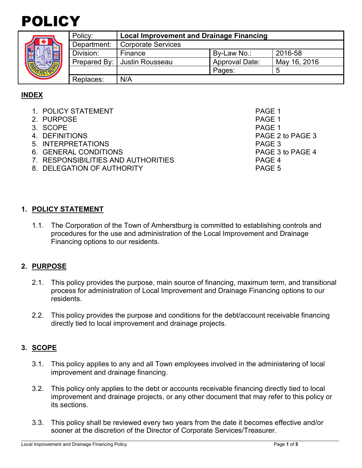



|  | Policy:     | <b>Local Improvement and Drainage Financing</b> |                       |              |
|--|-------------|-------------------------------------------------|-----------------------|--------------|
|  | Department: | Corporate Services                              |                       |              |
|  | Division:   | Finance                                         | By-Law No.:           | 2016-58      |
|  |             | Prepared By:   Justin Rousseau                  | <b>Approval Date:</b> | May 16, 2016 |
|  |             |                                                 | Pages:                |              |
|  | Replaces:   | N/A                                             |                       |              |

# **INDEX**

- 1. POLICY STATEMENT PAGE 1
- 2. PURPOSE And the set of the set of the set of the set of the set of the set of the set of the set of the set of the set of the set of the set of the set of the set of the set of the set of the set of the set of the set o
- 3. SCOPE PAGE 1
- 
- 5. INTERPRETATIONS PAGE 3
- 6. GENERAL CONDITIONS PAGE 3 to PAGE 4
- 7. RESPONSIBILITIES AND AUTHORITIES PAGE 4
- 8. DELEGATION OF AUTHORITY **Example 20 YO FAGE 5**

4. DEFINITIONS PAGE 2 to PAGE 3

## **1. POLICY STATEMENT**

1.1. The Corporation of the Town of Amherstburg is committed to establishing controls and procedures for the use and administration of the Local Improvement and Drainage Financing options to our residents.

## **2. PURPOSE**

- 2.1. This policy provides the purpose, main source of financing, maximum term, and transitional process for administration of Local Improvement and Drainage Financing options to our residents.
- 2.2. This policy provides the purpose and conditions for the debt/account receivable financing directly tied to local improvement and drainage projects.

#### **3. SCOPE**

- 3.1. This policy applies to any and all Town employees involved in the administering of local improvement and drainage financing.
- 3.2. This policy only applies to the debt or accounts receivable financing directly tied to local improvement and drainage projects, or any other document that may refer to this policy or its sections.
- 3.3. This policy shall be reviewed every two years from the date it becomes effective and/or sooner at the discretion of the Director of Corporate Services/Treasurer.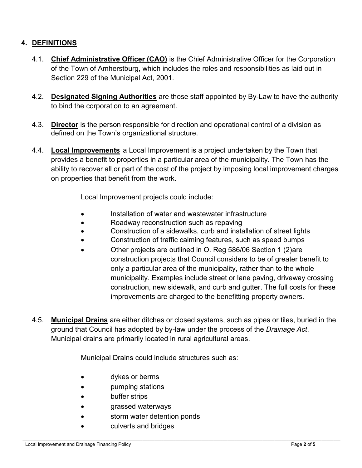## **4. DEFINITIONS**

- 4.1. **Chief Administrative Officer (CAO)** is the Chief Administrative Officer for the Corporation of the Town of Amherstburg, which includes the roles and responsibilities as laid out in Section 229 of the Municipal Act, 2001.
- 4.2. **Designated Signing Authorities** are those staff appointed by By-Law to have the authority to bind the corporation to an agreement.
- 4.3. **Director** is the person responsible for direction and operational control of a division as defined on the Town's organizational structure.
- 4.4. **Local Improvements** a Local Improvement is a project undertaken by the Town that provides a benefit to properties in a particular area of the municipality. The Town has the ability to recover all or part of the cost of the project by imposing local improvement charges on properties that benefit from the work.

Local Improvement projects could include:

- Installation of water and wastewater infrastructure
- Roadway reconstruction such as repaving
- Construction of a sidewalks, curb and installation of street lights
- Construction of traffic calming features, such as speed bumps
- Other projects are outlined in O. Reg 586/06 Section 1 (2)are construction projects that Council considers to be of greater benefit to only a particular area of the municipality, rather than to the whole municipality. Examples include street or lane paving, driveway crossing construction, new sidewalk, and curb and gutter. The full costs for these improvements are charged to the benefitting property owners.
- 4.5. **Municipal Drains** are either ditches or closed systems, such as pipes or tiles, buried in the ground that Council has adopted by by-law under the process of the *Drainage Act*. Municipal drains are primarily located in rural agricultural areas.

Municipal Drains could include structures such as:

- dykes or berms
- pumping stations
- buffer strips
- grassed waterways
- storm water detention ponds
- culverts and bridges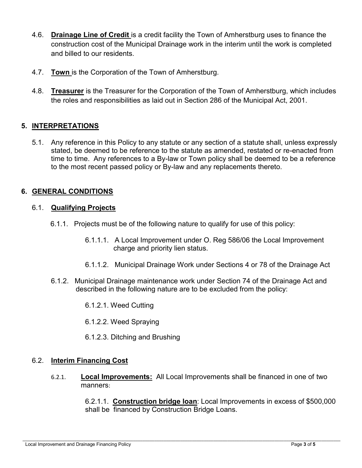- 4.6. **Drainage Line of Credit** is a credit facility the Town of Amherstburg uses to finance the construction cost of the Municipal Drainage work in the interim until the work is completed and billed to our residents.
- 4.7. **Town** is the Corporation of the Town of Amherstburg.
- 4.8. **Treasurer** is the Treasurer for the Corporation of the Town of Amherstburg, which includes the roles and responsibilities as laid out in Section 286 of the Municipal Act, 2001.

# **5. INTERPRETATIONS**

5.1. Any reference in this Policy to any statute or any section of a statute shall, unless expressly stated, be deemed to be reference to the statute as amended, restated or re-enacted from time to time. Any references to a By-law or Town policy shall be deemed to be a reference to the most recent passed policy or By-law and any replacements thereto.

## **6. GENERAL CONDITIONS**

#### 6.1. **Qualifying Projects**

- 6.1.1. Projects must be of the following nature to qualify for use of this policy:
	- 6.1.1.1. A Local Improvement under O. Reg 586/06 the Local Improvement charge and priority lien status.
	- 6.1.1.2. Municipal Drainage Work under Sections 4 or 78 of the Drainage Act
- 6.1.2. Municipal Drainage maintenance work under Section 74 of the Drainage Act and described in the following nature are to be excluded from the policy:
	- 6.1.2.1. Weed Cutting
	- 6.1.2.2. Weed Spraying
	- 6.1.2.3. Ditching and Brushing

#### 6.2. **Interim Financing Cost**

6.2.1. **Local Improvements:** All Local Improvements shall be financed in one of two manners:

> 6.2.1.1. **Construction bridge loan**: Local Improvements in excess of \$500,000 shall be financed by Construction Bridge Loans.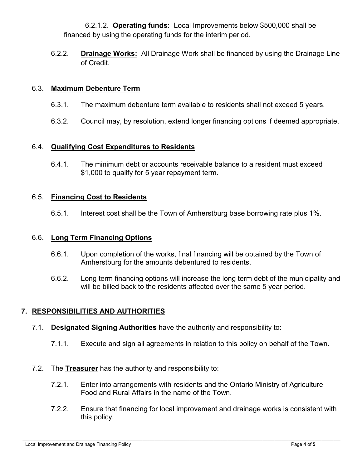6.2.1.2. **Operating funds:** Local Improvements below \$500,000 shall be financed by using the operating funds for the interim period.

6.2.2. **Drainage Works:** All Drainage Work shall be financed by using the Drainage Line of Credit.

#### 6.3. **Maximum Debenture Term**

- 6.3.1. The maximum debenture term available to residents shall not exceed 5 years.
- 6.3.2. Council may, by resolution, extend longer financing options if deemed appropriate.

### 6.4. **Qualifying Cost Expenditures to Residents**

6.4.1. The minimum debt or accounts receivable balance to a resident must exceed \$1,000 to qualify for 5 year repayment term.

### 6.5. **Financing Cost to Residents**

6.5.1. Interest cost shall be the Town of Amherstburg base borrowing rate plus 1%.

#### 6.6. **Long Term Financing Options**

- 6.6.1. Upon completion of the works, final financing will be obtained by the Town of Amherstburg for the amounts debentured to residents.
- 6.6.2. Long term financing options will increase the long term debt of the municipality and will be billed back to the residents affected over the same 5 year period.

## **7. RESPONSIBILITIES AND AUTHORITIES**

- 7.1. **Designated Signing Authorities** have the authority and responsibility to:
	- 7.1.1. Execute and sign all agreements in relation to this policy on behalf of the Town.
- 7.2. The **Treasurer** has the authority and responsibility to:
	- 7.2.1. Enter into arrangements with residents and the Ontario Ministry of Agriculture Food and Rural Affairs in the name of the Town.
	- 7.2.2. Ensure that financing for local improvement and drainage works is consistent with this policy.